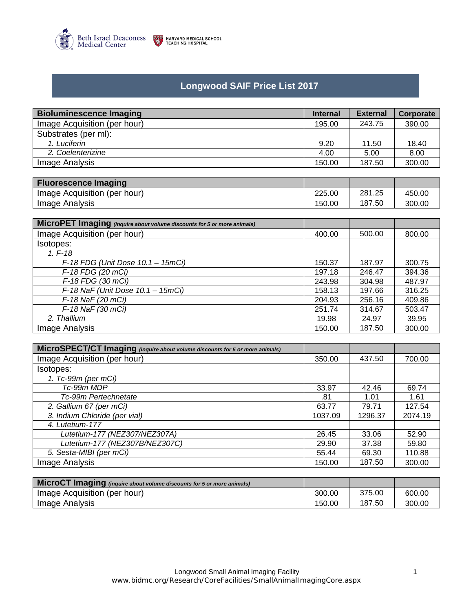

## **Longwood SAIF Price List 2017**

| <b>Bioluminescence Imaging</b>                                               | <b>Internal</b> | <b>External</b> | Corporate |
|------------------------------------------------------------------------------|-----------------|-----------------|-----------|
| Image Acquisition (per hour)                                                 | 195.00          | 243.75          | 390.00    |
| Substrates (per ml):                                                         |                 |                 |           |
| 1. Luciferin                                                                 | 9.20            | 11.50           | 18.40     |
| 2. Coelenterizine                                                            | 4.00            | 5.00            | 8.00      |
| Image Analysis                                                               | 150.00          | 187.50          | 300.00    |
|                                                                              |                 |                 |           |
| <b>Fluorescence Imaging</b>                                                  |                 |                 |           |
| Image Acquisition (per hour)                                                 | 225.00          | 281.25          | 450.00    |
| <b>Image Analysis</b>                                                        | 150.00          | 187.50          | 300.00    |
|                                                                              |                 |                 |           |
| MicroPET Imaging (inquire about volume discounts for 5 or more animals)      |                 |                 |           |
| Image Acquisition (per hour)                                                 | 400.00          | 500.00          | 800.00    |
| Isotopes:                                                                    |                 |                 |           |
| $1. F - 18$                                                                  |                 |                 |           |
| $F-18$ FDG (Unit Dose $10.1 - 15$ mCi)                                       | 150.37          | 187.97          | 300.75    |
| F-18 FDG (20 mCi)                                                            | 197.18          | 246.47          | 394.36    |
| F-18 FDG (30 mCi)                                                            | 243.98          | 304.98          | 487.97    |
| F-18 Na $\overline{F}$ (Unit Dose 10.1 - 15mCi)                              | 158.13          | 197.66          | 316.25    |
| F-18 NaF (20 mCi)                                                            | 204.93          | 256.16          | 409.86    |
| F-18 NaF (30 mCi)                                                            | 251.74          | 314.67          | 503.47    |
| 2. Thallium                                                                  | 19.98           | 24.97           | 39.95     |
| <b>Image Analysis</b>                                                        | 150.00          | 187.50          | 300.00    |
|                                                                              |                 |                 |           |
| MicroSPECT/CT Imaging (inquire about volume discounts for 5 or more animals) |                 |                 |           |
| Image Acquisition (per hour)                                                 | 350.00          | 437.50          | 700.00    |
| Isotopes:                                                                    |                 |                 |           |
| 1. Tc-99m (per mCi)                                                          |                 |                 |           |
| Tc-99m MDP                                                                   | 33.97           | 42.46           | 69.74     |
| Tc-99m Pertechnetate                                                         | .81             | 1.01            | 1.61      |
| 2. Gallium 67 (per mCi)                                                      | 63.77           | 79.71           | 127.54    |
| 3. Indium Chloride (per vial)                                                | 1037.09         | 1296.37         | 2074.19   |
| 4. Lutetium-177                                                              |                 |                 |           |
| Lutetium-177 (NEZ307/NEZ307A)                                                | 26.45           | 33.06           | 52.90     |
| Lutetium-177 (NEZ307B/NEZ307C)                                               | 29.90           | 37.38           | 59.80     |
| 5. Sesta-MIBI (per mCi)                                                      | 55.44           | 69.30           | 110.88    |
| <b>Image Analysis</b>                                                        | 150.00          | 187.50          | 300.00    |

| $\sqrt{2}$ MicroCT Imaging (inquire about volume discounts for 5 or more animals) |        |        |        |
|-----------------------------------------------------------------------------------|--------|--------|--------|
| Image Acquisition (per hour)                                                      | 300.00 | 375.00 | 600.00 |
| Image Analysis                                                                    | 150.00 | 187.50 | 300.00 |

Image Analysis 150.00 | 187.50 | 300.00